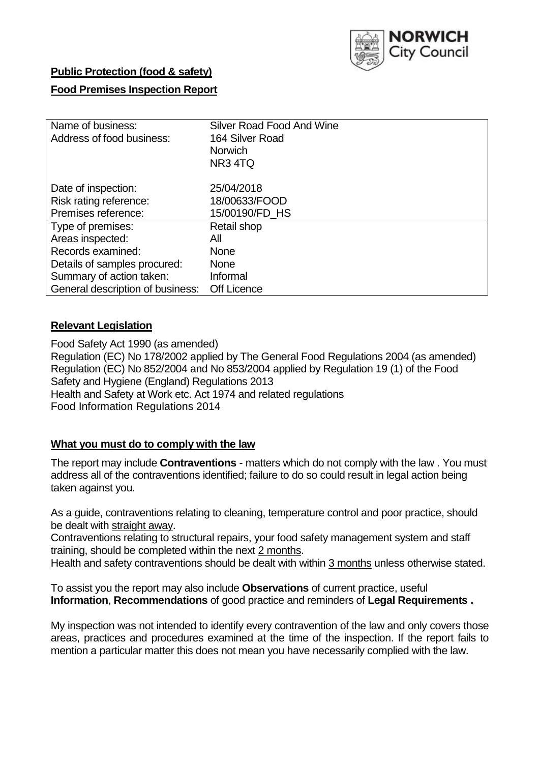

## **Public Protection (food & safety)**

### **Food Premises Inspection Report**

| Name of business:                | <b>Silver Road Food And Wine</b> |
|----------------------------------|----------------------------------|
| Address of food business:        | 164 Silver Road                  |
|                                  | <b>Norwich</b>                   |
|                                  | NR <sub>3</sub> 4TQ              |
| Date of inspection:              | 25/04/2018                       |
| Risk rating reference:           | 18/00633/FOOD                    |
| Premises reference:              | 15/00190/FD HS                   |
| Type of premises:                | Retail shop                      |
| Areas inspected:                 | All                              |
| Records examined:                | <b>None</b>                      |
| Details of samples procured:     | <b>None</b>                      |
| Summary of action taken:         | Informal                         |
| General description of business: | <b>Off Licence</b>               |

#### **Relevant Legislation**

Food Safety Act 1990 (as amended) Regulation (EC) No 178/2002 applied by The General Food Regulations 2004 (as amended) Regulation (EC) No 852/2004 and No 853/2004 applied by Regulation 19 (1) of the Food Safety and Hygiene (England) Regulations 2013 Health and Safety at Work etc. Act 1974 and related regulations Food Information Regulations 2014

## **What you must do to comply with the law**

The report may include **Contraventions** - matters which do not comply with the law . You must address all of the contraventions identified; failure to do so could result in legal action being taken against you.

As a guide, contraventions relating to cleaning, temperature control and poor practice, should be dealt with straight away.

Contraventions relating to structural repairs, your food safety management system and staff training, should be completed within the next 2 months.

Health and safety contraventions should be dealt with within 3 months unless otherwise stated.

To assist you the report may also include **Observations** of current practice, useful **Information**, **Recommendations** of good practice and reminders of **Legal Requirements .**

My inspection was not intended to identify every contravention of the law and only covers those areas, practices and procedures examined at the time of the inspection. If the report fails to mention a particular matter this does not mean you have necessarily complied with the law.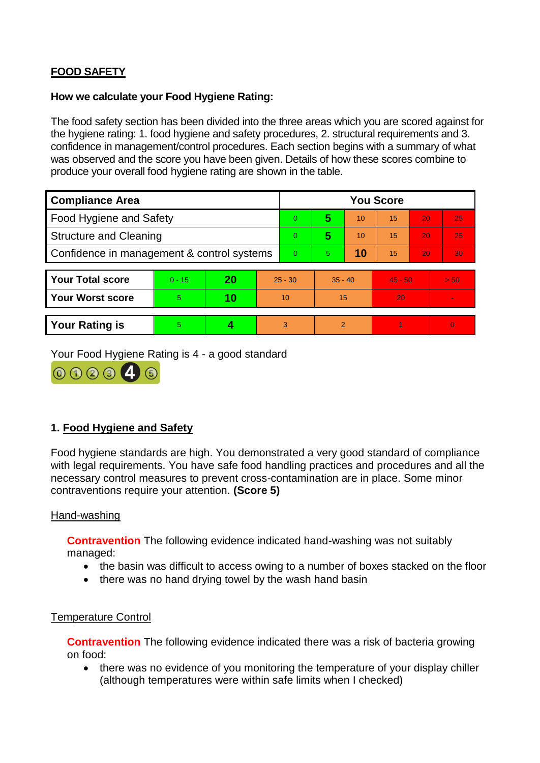# **FOOD SAFETY**

#### **How we calculate your Food Hygiene Rating:**

The food safety section has been divided into the three areas which you are scored against for the hygiene rating: 1. food hygiene and safety procedures, 2. structural requirements and 3. confidence in management/control procedures. Each section begins with a summary of what was observed and the score you have been given. Details of how these scores combine to produce your overall food hygiene rating are shown in the table.

| <b>Compliance Area</b>                     |          |    |    | <b>You Score</b> |                |    |           |    |                |  |  |
|--------------------------------------------|----------|----|----|------------------|----------------|----|-----------|----|----------------|--|--|
| Food Hygiene and Safety                    |          |    |    | $\Omega$         | 5              | 10 | 15        | 20 | 25             |  |  |
| <b>Structure and Cleaning</b>              |          |    |    | $\overline{0}$   | 5              | 10 | 15        | 20 | 25             |  |  |
| Confidence in management & control systems |          |    |    | $\Omega$         | $\overline{5}$ | 10 | 15        | 20 | 30             |  |  |
|                                            |          |    |    |                  |                |    |           |    |                |  |  |
| <b>Your Total score</b>                    | $0 - 15$ | 20 |    | $25 - 30$        | $35 - 40$      |    | $45 - 50$ |    | > 50           |  |  |
| <b>Your Worst score</b>                    | 5        | 10 | 10 |                  | 15             |    | 20        |    | $\blacksquare$ |  |  |
|                                            |          |    |    |                  |                |    |           |    |                |  |  |
| <b>Your Rating is</b>                      | 5        |    |    | 3                | $\overline{2}$ |    |           |    | $\Omega$       |  |  |

Your Food Hygiene Rating is 4 - a good standard



# **1. Food Hygiene and Safety**

Food hygiene standards are high. You demonstrated a very good standard of compliance with legal requirements. You have safe food handling practices and procedures and all the necessary control measures to prevent cross-contamination are in place. Some minor contraventions require your attention. **(Score 5)**

#### Hand-washing

**Contravention** The following evidence indicated hand-washing was not suitably managed:

- the basin was difficult to access owing to a number of boxes stacked on the floor
- there was no hand drying towel by the wash hand basin

#### Temperature Control

**Contravention** The following evidence indicated there was a risk of bacteria growing on food:

• there was no evidence of you monitoring the temperature of your display chiller (although temperatures were within safe limits when I checked)